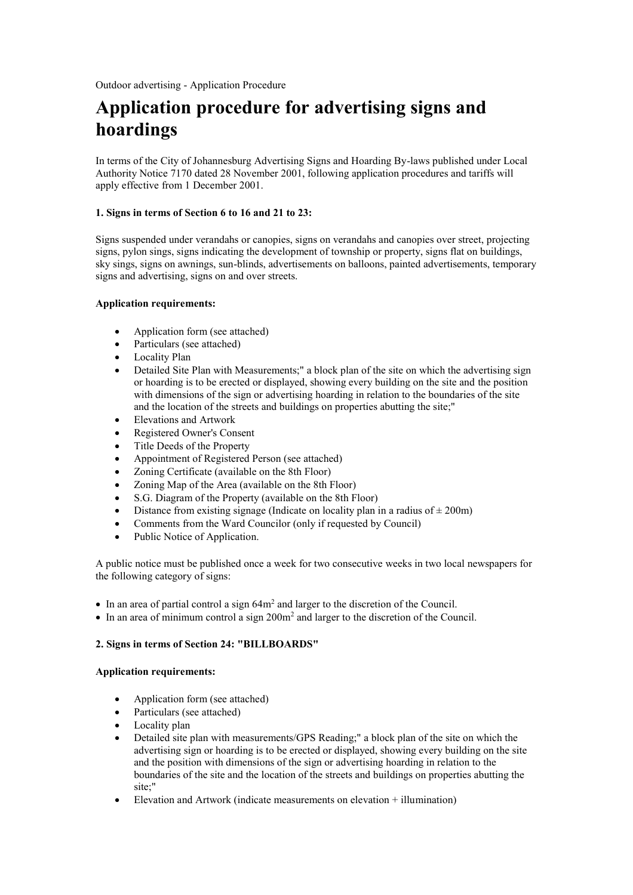# **Application procedure for advertising signs and hoardings**

In terms of the City of Johannesburg Advertising Signs and Hoarding By-laws published under Local Authority Notice 7170 dated 28 November 2001, following application procedures and tariffs will apply effective from 1 December 2001.

## **1. Signs in terms of Section 6 to 16 and 21 to 23:**

Signs suspended under verandahs or canopies, signs on verandahs and canopies over street, projecting signs, pylon sings, signs indicating the development of township or property, signs flat on buildings, sky sings, signs on awnings, sun-blinds, advertisements on balloons, painted advertisements, temporary signs and advertising, signs on and over streets.

## **Application requirements:**

- Application form (see attached)
- Particulars (see attached)
- Locality Plan
- Detailed Site Plan with Measurements;" a block plan of the site on which the advertising sign or hoarding is to be erected or displayed, showing every building on the site and the position with dimensions of the sign or advertising hoarding in relation to the boundaries of the site and the location of the streets and buildings on properties abutting the site;"
- Elevations and Artwork
- Registered Owner's Consent
- Title Deeds of the Property
- Appointment of Registered Person (see attached)
- Zoning Certificate (available on the 8th Floor)
- Zoning Map of the Area (available on the 8th Floor)
- S.G. Diagram of the Property (available on the 8th Floor)
- Distance from existing signage (Indicate on locality plan in a radius of  $\pm$  200m)
- Comments from the Ward Councilor (only if requested by Council)
- Public Notice of Application.

A public notice must be published once a week for two consecutive weeks in two local newspapers for the following category of signs:

- $\bullet$  In an area of partial control a sign 64 $m<sup>2</sup>$  and larger to the discretion of the Council.
- $\bullet$  In an area of minimum control a sign 200m<sup>2</sup> and larger to the discretion of the Council.

# **2. Signs in terms of Section 24: "BILLBOARDS"**

#### **Application requirements:**

- Application form (see attached)
- Particulars (see attached)
- Locality plan
- Detailed site plan with measurements/GPS Reading;" a block plan of the site on which the advertising sign or hoarding is to be erected or displayed, showing every building on the site and the position with dimensions of the sign or advertising hoarding in relation to the boundaries of the site and the location of the streets and buildings on properties abutting the site;"
- Elevation and Artwork (indicate measurements on elevation + illumination)